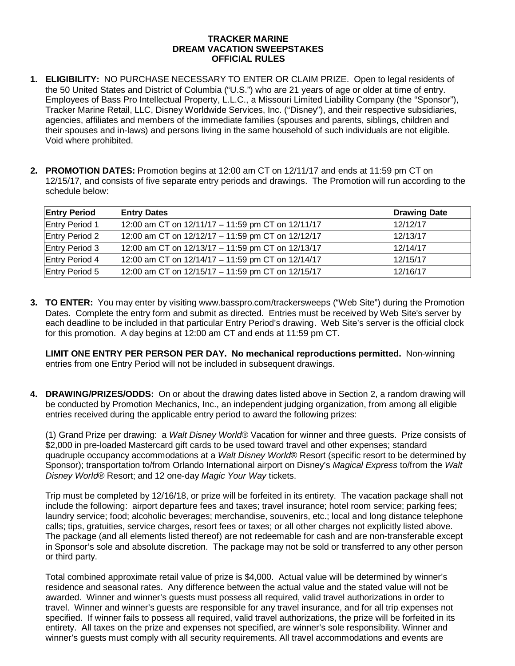## **TRACKER MARINE DREAM VACATION SWEEPSTAKES OFFICIAL RULES**

- **1. ELIGIBILITY:** NO PURCHASE NECESSARY TO ENTER OR CLAIM PRIZE. Open to legal residents of the 50 United States and District of Columbia ("U.S.") who are 21 years of age or older at time of entry. Employees of Bass Pro Intellectual Property, L.L.C., a Missouri Limited Liability Company (the "Sponsor"), Tracker Marine Retail, LLC, Disney Worldwide Services, Inc. ("Disney"), and their respective subsidiaries, agencies, affiliates and members of the immediate families (spouses and parents, siblings, children and their spouses and in-laws) and persons living in the same household of such individuals are not eligible. Void where prohibited.
- **2. PROMOTION DATES:** Promotion begins at 12:00 am CT on 12/11/17 and ends at 11:59 pm CT on 12/15/17, and consists of five separate entry periods and drawings. The Promotion will run according to the schedule below:

| <b>Entry Period</b>   | <b>Entry Dates</b>                                | <b>Drawing Date</b> |
|-----------------------|---------------------------------------------------|---------------------|
| Entry Period 1        | 12:00 am CT on 12/11/17 - 11:59 pm CT on 12/11/17 | 12/12/17            |
| <b>Entry Period 2</b> | 12:00 am CT on 12/12/17 - 11:59 pm CT on 12/12/17 | 12/13/17            |
| <b>Entry Period 3</b> | 12:00 am CT on 12/13/17 - 11:59 pm CT on 12/13/17 | 12/14/17            |
| <b>Entry Period 4</b> | 12:00 am CT on 12/14/17 - 11:59 pm CT on 12/14/17 | 12/15/17            |
| <b>Entry Period 5</b> | 12:00 am CT on 12/15/17 - 11:59 pm CT on 12/15/17 | 12/16/17            |

**3. TO ENTER:** You may enter by visiting www.basspro.com/trackersweeps ("Web Site") during the Promotion Dates. Complete the entry form and submit as directed. Entries must be received by Web Site's server by each deadline to be included in that particular Entry Period's drawing. Web Site's server is the official clock for this promotion. A day begins at 12:00 am CT and ends at 11:59 pm CT.

**LIMIT ONE ENTRY PER PERSON PER DAY. No mechanical reproductions permitted.** Non-winning entries from one Entry Period will not be included in subsequent drawings.

**4. DRAWING/PRIZES/ODDS:** On or about the drawing dates listed above in Section 2, a random drawing will be conducted by Promotion Mechanics, Inc., an independent judging organization, from among all eligible entries received during the applicable entry period to award the following prizes:

(1) Grand Prize per drawing: a *Walt Disney World*® Vacation for winner and three guests. Prize consists of \$2,000 in pre-loaded Mastercard gift cards to be used toward travel and other expenses; standard quadruple occupancy accommodations at a *Walt Disney World*® Resort (specific resort to be determined by Sponsor); transportation to/from Orlando International airport on Disney's *Magical Express* to/from the *Walt Disney World*® Resort; and 12 one-day *Magic Your Way* tickets.

Trip must be completed by 12/16/18, or prize will be forfeited in its entirety. The vacation package shall not include the following: airport departure fees and taxes; travel insurance; hotel room service; parking fees; laundry service; food; alcoholic beverages; merchandise, souvenirs, etc.; local and long distance telephone calls; tips, gratuities, service charges, resort fees or taxes; or all other charges not explicitly listed above. The package (and all elements listed thereof) are not redeemable for cash and are non-transferable except in Sponsor's sole and absolute discretion. The package may not be sold or transferred to any other person or third party.

Total combined approximate retail value of prize is \$4,000. Actual value will be determined by winner's residence and seasonal rates. Any difference between the actual value and the stated value will not be awarded. Winner and winner's guests must possess all required, valid travel authorizations in order to travel. Winner and winner's guests are responsible for any travel insurance, and for all trip expenses not specified. If winner fails to possess all required, valid travel authorizations, the prize will be forfeited in its entirety. All taxes on the prize and expenses not specified, are winner's sole responsibility. Winner and winner's guests must comply with all security requirements. All travel accommodations and events are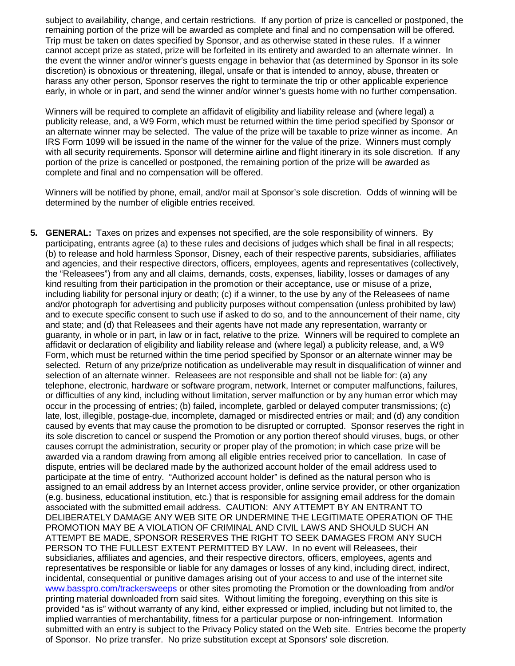subject to availability, change, and certain restrictions. If any portion of prize is cancelled or postponed, the remaining portion of the prize will be awarded as complete and final and no compensation will be offered. Trip must be taken on dates specified by Sponsor, and as otherwise stated in these rules. If a winner cannot accept prize as stated, prize will be forfeited in its entirety and awarded to an alternate winner. In the event the winner and/or winner's guests engage in behavior that (as determined by Sponsor in its sole discretion) is obnoxious or threatening, illegal, unsafe or that is intended to annoy, abuse, threaten or harass any other person, Sponsor reserves the right to terminate the trip or other applicable experience early, in whole or in part, and send the winner and/or winner's guests home with no further compensation.

Winners will be required to complete an affidavit of eligibility and liability release and (where legal) a publicity release, and, a W9 Form, which must be returned within the time period specified by Sponsor or an alternate winner may be selected. The value of the prize will be taxable to prize winner as income. An IRS Form 1099 will be issued in the name of the winner for the value of the prize. Winners must comply with all security requirements. Sponsor will determine airline and flight itinerary in its sole discretion. If any portion of the prize is cancelled or postponed, the remaining portion of the prize will be awarded as complete and final and no compensation will be offered.

Winners will be notified by phone, email, and/or mail at Sponsor's sole discretion. Odds of winning will be determined by the number of eligible entries received.

**5. GENERAL:** Taxes on prizes and expenses not specified, are the sole responsibility of winners. By participating, entrants agree (a) to these rules and decisions of judges which shall be final in all respects; (b) to release and hold harmless Sponsor, Disney, each of their respective parents, subsidiaries, affiliates and agencies, and their respective directors, officers, employees, agents and representatives (collectively, the "Releasees") from any and all claims, demands, costs, expenses, liability, losses or damages of any kind resulting from their participation in the promotion or their acceptance, use or misuse of a prize, including liability for personal injury or death; (c) if a winner, to the use by any of the Releasees of name and/or photograph for advertising and publicity purposes without compensation (unless prohibited by law) and to execute specific consent to such use if asked to do so, and to the announcement of their name, city and state; and (d) that Releasees and their agents have not made any representation, warranty or guaranty, in whole or in part, in law or in fact, relative to the prize. Winners will be required to complete an affidavit or declaration of eligibility and liability release and (where legal) a publicity release, and, a W9 Form, which must be returned within the time period specified by Sponsor or an alternate winner may be selected. Return of any prize/prize notification as undeliverable may result in disqualification of winner and selection of an alternate winner. Releasees are not responsible and shall not be liable for: (a) any telephone, electronic, hardware or software program, network, Internet or computer malfunctions, failures, or difficulties of any kind, including without limitation, server malfunction or by any human error which may occur in the processing of entries; (b) failed, incomplete, garbled or delayed computer transmissions; (c) late, lost, illegible, postage-due, incomplete, damaged or misdirected entries or mail; and (d) any condition caused by events that may cause the promotion to be disrupted or corrupted. Sponsor reserves the right in its sole discretion to cancel or suspend the Promotion or any portion thereof should viruses, bugs, or other causes corrupt the administration, security or proper play of the promotion; in which case prize will be awarded via a random drawing from among all eligible entries received prior to cancellation. In case of dispute, entries will be declared made by the authorized account holder of the email address used to participate at the time of entry. "Authorized account holder" is defined as the natural person who is assigned to an email address by an Internet access provider, online service provider, or other organization (e.g. business, educational institution, etc.) that is responsible for assigning email address for the domain associated with the submitted email address. CAUTION: ANY ATTEMPT BY AN ENTRANT TO DELIBERATELY DAMAGE ANY WEB SITE OR UNDERMINE THE LEGITIMATE OPERATION OF THE PROMOTION MAY BE A VIOLATION OF CRIMINAL AND CIVIL LAWS AND SHOULD SUCH AN ATTEMPT BE MADE, SPONSOR RESERVES THE RIGHT TO SEEK DAMAGES FROM ANY SUCH PERSON TO THE FULLEST EXTENT PERMITTED BY LAW. In no event will Releasees, their subsidiaries, affiliates and agencies, and their respective directors, officers, employees, agents and representatives be responsible or liable for any damages or losses of any kind, including direct, indirect, incidental, consequential or punitive damages arising out of your access to and use of the internet site [www.basspro.com/trackersweeps](http://www.basspro.com/trackersweeps) or other sites promoting the Promotion or the downloading from and/or printing material downloaded from said sites. Without limiting the foregoing, everything on this site is provided "as is" without warranty of any kind, either expressed or implied, including but not limited to, the implied warranties of merchantability, fitness for a particular purpose or non-infringement. Information submitted with an entry is subject to the Privacy Policy stated on the Web site. Entries become the property of Sponsor. No prize transfer. No prize substitution except at Sponsors' sole discretion.